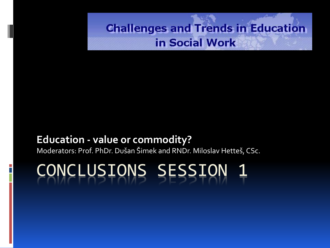#### **Education - value or commodity?**

Moderators: Prof. PhDr. Dušan Šimek and RNDr. Miloslav Hetteš, CSc.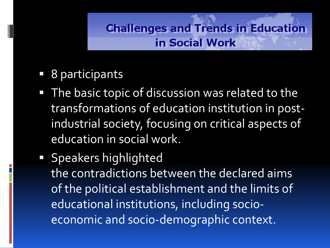- 8 participants
- **The basic topic of discussion was related to the** transformations of education institution in postindustrial society, focusing on critical aspects of education in social work.
- **Speakers highlighted** the contradictions between the declared aims of the political establishment and the limits of educational institutions, including socioeconomic and socio-demographic context.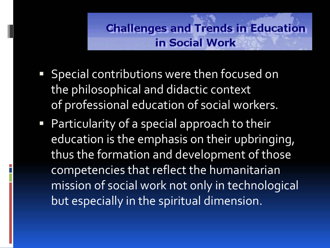- **Special contributions were then focused on** the philosophical and didactic context of professional education of social workers.
- Particularity of a special approach to their education is the emphasis on their upbringing, thus the formation and development of those competencies that reflect the humanitarian mission of social work not only in technological but especially in the spiritual dimension.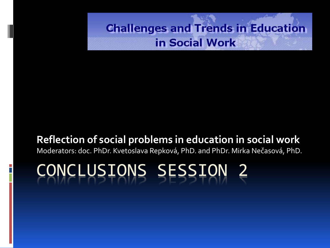#### **Reflection of social problems in education in social work**

Moderators: doc. PhDr. Kvetoslava Repková, PhD. and PhDr. Mirka Nečasová, PhD.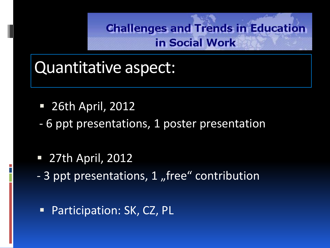## Quantitative aspect:

- 26th April, 2012
- 6 ppt presentations, 1 poster presentation
- 27th April, 2012
- 3 ppt presentations, 1 "free" contribution

**Participation: SK, CZ, PL**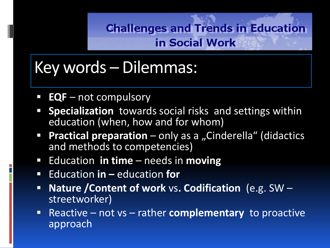# Key words – Dilemmas:

- **EQF** not compulsory
- **Specialization** towards social risks and settings within education (when, how and for whom)
- **Practical preparation** only as a "Cinderella" (didactics and methods to competencies)
- Education **in time** needs in **moving**
- Education **in** education **for**
- **Nature /Content of work** vs**. Codification** (e.g. SW streetworker)
- Reactive not vs rather **complementary** to proactive approach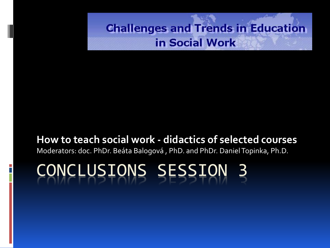#### **How to teach social work - didactics of selected courses**

Moderators: doc. PhDr. Beáta Balogová , PhD. and PhDr. DanielTopinka, Ph.D.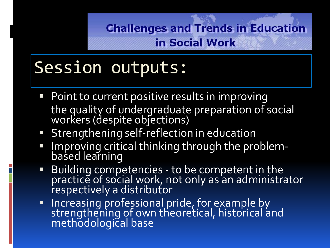# Session outputs:

- Point to current positive results in improving the quality of undergraduate preparation of social workers (despite objections)
- **Strengthening self-reflection in education**
- Improving critical thinking through the problembased learning
- Building competencies to be competent in the practice of social work, not only as an administrator respectively a distributor
- **Increasing professional pride, for example by** strengthening of own theoretical, historical and methodological base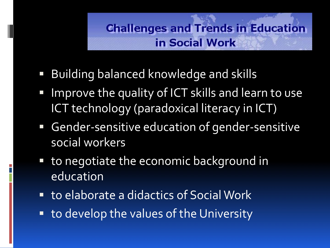- Building balanced knowledge and skills
- Improve the quality of ICT skills and learn to use ICT technology (paradoxical literacy in ICT)
- Gender-sensitive education of gender-sensitive social workers
- to negotiate the economic background in education
- to elaborate a didactics of Social Work
- to develop the values of the University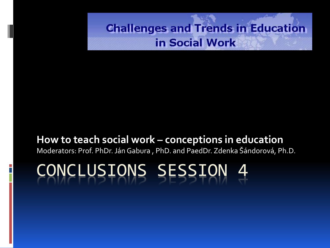#### **How to teach social work – conceptions in education**

Moderators: Prof. PhDr. Ján Gabura , PhD. and PaedDr. Zdenka Šándorová, Ph.D.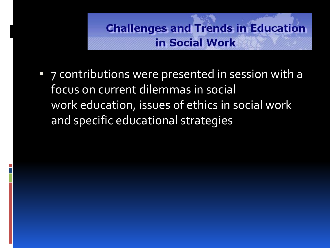**7** contributions were presented in session with a focus on current dilemmas in social work education, issues of ethics in social work and specific educational strategies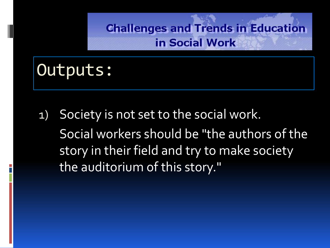## Outputs:

1) Society is not set to the social work. Social workers should be "the authors of the story in their field and try to make society the auditorium of this story."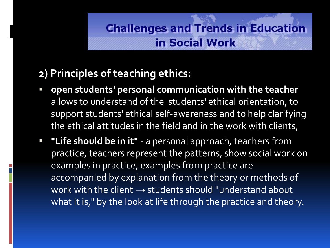### **2) Principles of teaching ethics:**

- **open students' personal communication with the teacher**  allows to understand of the students' ethical orientation, to support students' ethical self-awareness and to help clarifying the ethical attitudes in the field and in the work with clients,
- **"Life should be in it"**  a personal approach, teachers from practice, teachers represent the patterns, show social work on examples in practice, examples from practice are accompanied by explanation from the theory or methods of work with the client  $\rightarrow$  students should "understand about what it is," by the look at life through the practice and theory.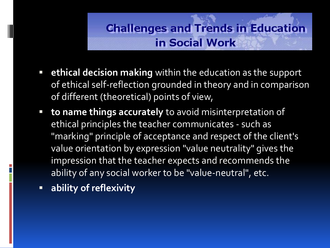- **ethical decision making** within the education as the support of ethical self-reflection grounded in theory and in comparison of different (theoretical) points of view,
- **to name things accurately** to avoid misinterpretation of ethical principles the teacher communicates - such as "marking" principle of acceptance and respect of the client's value orientation by expression "value neutrality" gives the impression that the teacher expects and recommends the ability of any social worker to be "value-neutral", etc.
- **ability of reflexivity**